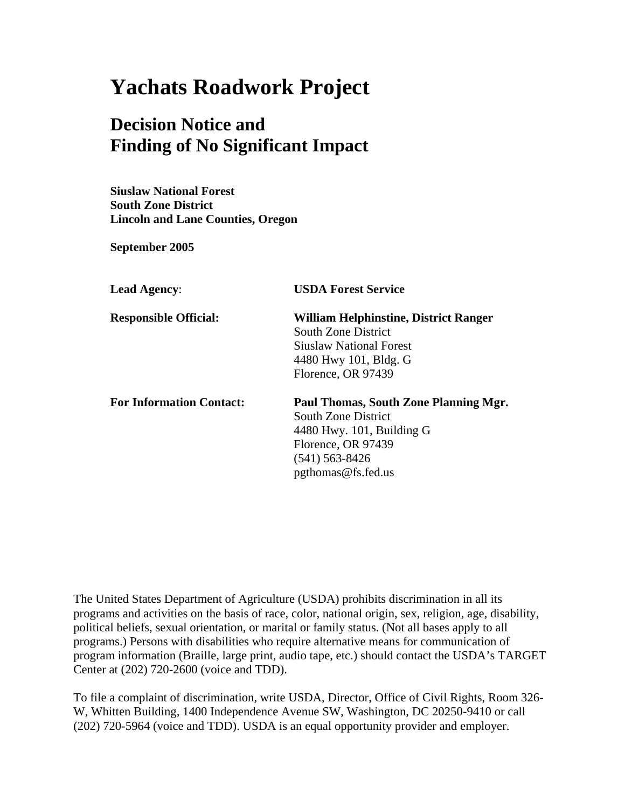# **Yachats Roadwork Project**

# **Decision Notice and Finding of No Significant Impact**

**Siuslaw National Forest South Zone District Lincoln and Lane Counties, Oregon** 

**September 2005** 

| <b>Lead Agency:</b>             | <b>USDA Forest Service</b>                   |
|---------------------------------|----------------------------------------------|
| <b>Responsible Official:</b>    | <b>William Helphinstine, District Ranger</b> |
|                                 | South Zone District                          |
|                                 | <b>Siuslaw National Forest</b>               |
|                                 | 4480 Hwy 101, Bldg. G                        |
|                                 | Florence, OR 97439                           |
| <b>For Information Contact:</b> | Paul Thomas, South Zone Planning Mgr.        |
|                                 | <b>South Zone District</b>                   |
|                                 | $4480$ Hwy. 101, Building G                  |
|                                 | Florence, OR 97439                           |
|                                 | $(541)$ 563-8426                             |
|                                 | $p$ gthomas@fs.fed.us                        |

The United States Department of Agriculture (USDA) prohibits discrimination in all its programs and activities on the basis of race, color, national origin, sex, religion, age, disability, political beliefs, sexual orientation, or marital or family status. (Not all bases apply to all programs.) Persons with disabilities who require alternative means for communication of program information (Braille, large print, audio tape, etc.) should contact the USDA's TARGET Center at (202) 720-2600 (voice and TDD).

To file a complaint of discrimination, write USDA, Director, Office of Civil Rights, Room 326- W, Whitten Building, 1400 Independence Avenue SW, Washington, DC 20250-9410 or call (202) 720-5964 (voice and TDD). USDA is an equal opportunity provider and employer.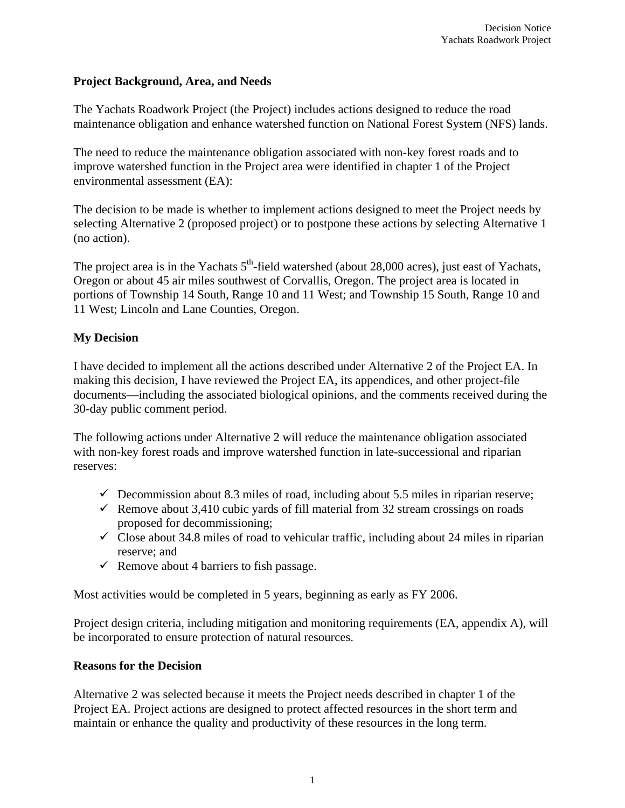#### **Project Background, Area, and Needs**

The Yachats Roadwork Project (the Project) includes actions designed to reduce the road maintenance obligation and enhance watershed function on National Forest System (NFS) lands.

The need to reduce the maintenance obligation associated with non-key forest roads and to improve watershed function in the Project area were identified in chapter 1 of the Project environmental assessment (EA):

The decision to be made is whether to implement actions designed to meet the Project needs by selecting Alternative 2 (proposed project) or to postpone these actions by selecting Alternative 1 (no action).

The project area is in the Yachats  $5<sup>th</sup>$ -field watershed (about 28,000 acres), just east of Yachats, Oregon or about 45 air miles southwest of Corvallis, Oregon. The project area is located in portions of Township 14 South, Range 10 and 11 West; and Township 15 South, Range 10 and 11 West; Lincoln and Lane Counties, Oregon.

# **My Decision**

I have decided to implement all the actions described under Alternative 2 of the Project EA. In making this decision, I have reviewed the Project EA, its appendices, and other project-file documents—including the associated biological opinions, and the comments received during the 30-day public comment period.

The following actions under Alternative 2 will reduce the maintenance obligation associated with non-key forest roads and improve watershed function in late-successional and riparian reserves:

- $\checkmark$  Decommission about 8.3 miles of road, including about 5.5 miles in riparian reserve;
- Remove about 3,410 cubic yards of fill material from 32 stream crossings on roads proposed for decommissioning;
- $\checkmark$  Close about 34.8 miles of road to vehicular traffic, including about 24 miles in riparian reserve; and
- Remove about 4 barriers to fish passage.

Most activities would be completed in 5 years, beginning as early as FY 2006.

Project design criteria, including mitigation and monitoring requirements (EA, appendix A), will be incorporated to ensure protection of natural resources.

#### **Reasons for the Decision**

Alternative 2 was selected because it meets the Project needs described in chapter 1 of the Project EA. Project actions are designed to protect affected resources in the short term and maintain or enhance the quality and productivity of these resources in the long term.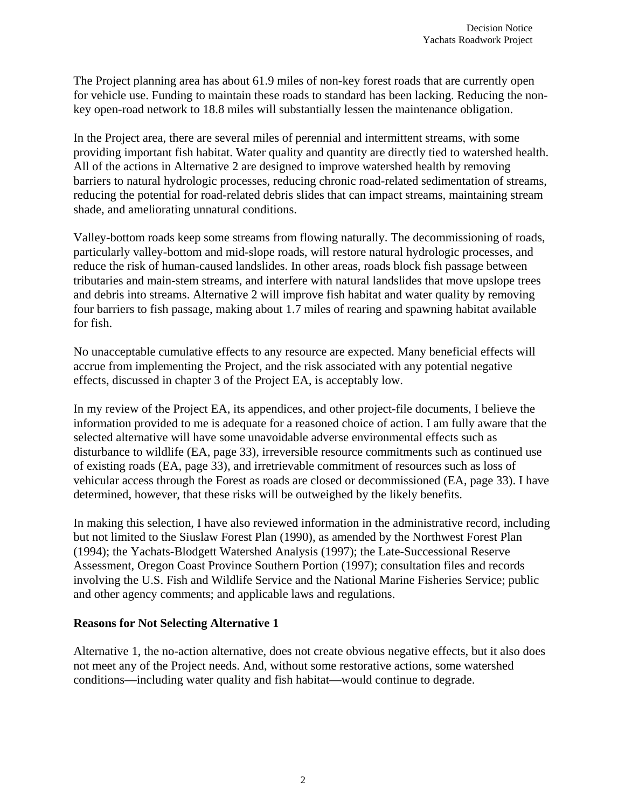The Project planning area has about 61.9 miles of non-key forest roads that are currently open for vehicle use. Funding to maintain these roads to standard has been lacking. Reducing the nonkey open-road network to 18.8 miles will substantially lessen the maintenance obligation.

In the Project area, there are several miles of perennial and intermittent streams, with some providing important fish habitat. Water quality and quantity are directly tied to watershed health. All of the actions in Alternative 2 are designed to improve watershed health by removing barriers to natural hydrologic processes, reducing chronic road-related sedimentation of streams, reducing the potential for road-related debris slides that can impact streams, maintaining stream shade, and ameliorating unnatural conditions.

Valley-bottom roads keep some streams from flowing naturally. The decommissioning of roads, particularly valley-bottom and mid-slope roads, will restore natural hydrologic processes, and reduce the risk of human-caused landslides. In other areas, roads block fish passage between tributaries and main-stem streams, and interfere with natural landslides that move upslope trees and debris into streams. Alternative 2 will improve fish habitat and water quality by removing four barriers to fish passage, making about 1.7 miles of rearing and spawning habitat available for fish.

No unacceptable cumulative effects to any resource are expected. Many beneficial effects will accrue from implementing the Project, and the risk associated with any potential negative effects, discussed in chapter 3 of the Project EA, is acceptably low.

In my review of the Project EA, its appendices, and other project-file documents, I believe the information provided to me is adequate for a reasoned choice of action. I am fully aware that the selected alternative will have some unavoidable adverse environmental effects such as disturbance to wildlife (EA, page 33), irreversible resource commitments such as continued use of existing roads (EA, page 33), and irretrievable commitment of resources such as loss of vehicular access through the Forest as roads are closed or decommissioned (EA, page 33). I have determined, however, that these risks will be outweighed by the likely benefits.

In making this selection, I have also reviewed information in the administrative record, including but not limited to the Siuslaw Forest Plan (1990), as amended by the Northwest Forest Plan (1994); the Yachats-Blodgett Watershed Analysis (1997); the Late-Successional Reserve Assessment, Oregon Coast Province Southern Portion (1997); consultation files and records involving the U.S. Fish and Wildlife Service and the National Marine Fisheries Service; public and other agency comments; and applicable laws and regulations.

#### **Reasons for Not Selecting Alternative 1**

Alternative 1, the no-action alternative, does not create obvious negative effects, but it also does not meet any of the Project needs. And, without some restorative actions, some watershed conditions—including water quality and fish habitat—would continue to degrade.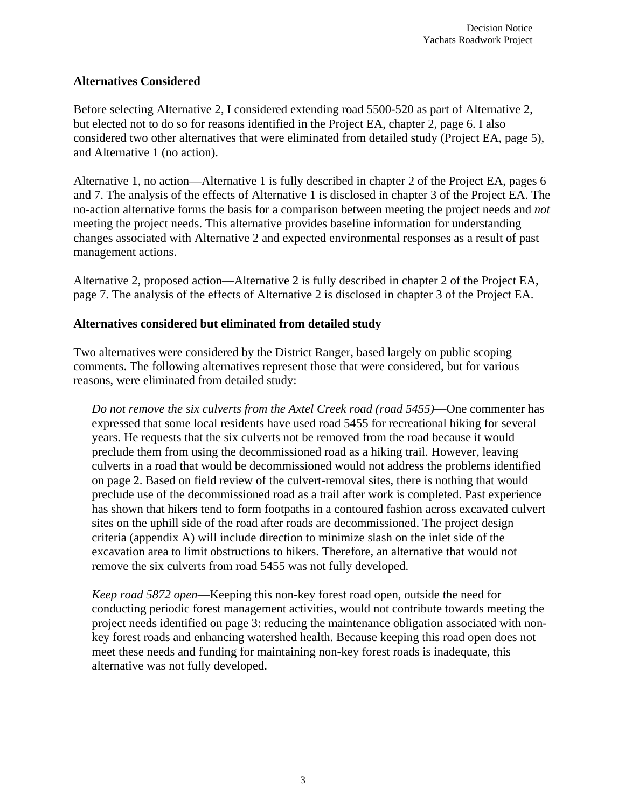#### **Alternatives Considered**

Before selecting Alternative 2, I considered extending road 5500-520 as part of Alternative 2, but elected not to do so for reasons identified in the Project EA, chapter 2, page 6. I also considered two other alternatives that were eliminated from detailed study (Project EA, page 5), and Alternative 1 (no action).

Alternative 1, no action—Alternative 1 is fully described in chapter 2 of the Project EA, pages 6 and 7. The analysis of the effects of Alternative 1 is disclosed in chapter 3 of the Project EA. The no-action alternative forms the basis for a comparison between meeting the project needs and *not* meeting the project needs. This alternative provides baseline information for understanding changes associated with Alternative 2 and expected environmental responses as a result of past management actions.

Alternative 2, proposed action—Alternative 2 is fully described in chapter 2 of the Project EA, page 7. The analysis of the effects of Alternative 2 is disclosed in chapter 3 of the Project EA.

# **Alternatives considered but eliminated from detailed study**

Two alternatives were considered by the District Ranger, based largely on public scoping comments. The following alternatives represent those that were considered, but for various reasons, were eliminated from detailed study:

*Do not remove the six culverts from the Axtel Creek road (road 5455)*—One commenter has expressed that some local residents have used road 5455 for recreational hiking for several years. He requests that the six culverts not be removed from the road because it would preclude them from using the decommissioned road as a hiking trail. However, leaving culverts in a road that would be decommissioned would not address the problems identified on page 2. Based on field review of the culvert-removal sites, there is nothing that would preclude use of the decommissioned road as a trail after work is completed. Past experience has shown that hikers tend to form footpaths in a contoured fashion across excavated culvert sites on the uphill side of the road after roads are decommissioned. The project design criteria (appendix A) will include direction to minimize slash on the inlet side of the excavation area to limit obstructions to hikers. Therefore, an alternative that would not remove the six culverts from road 5455 was not fully developed.

*Keep road 5872 open*—Keeping this non-key forest road open, outside the need for conducting periodic forest management activities, would not contribute towards meeting the project needs identified on page 3: reducing the maintenance obligation associated with nonkey forest roads and enhancing watershed health. Because keeping this road open does not meet these needs and funding for maintaining non-key forest roads is inadequate, this alternative was not fully developed.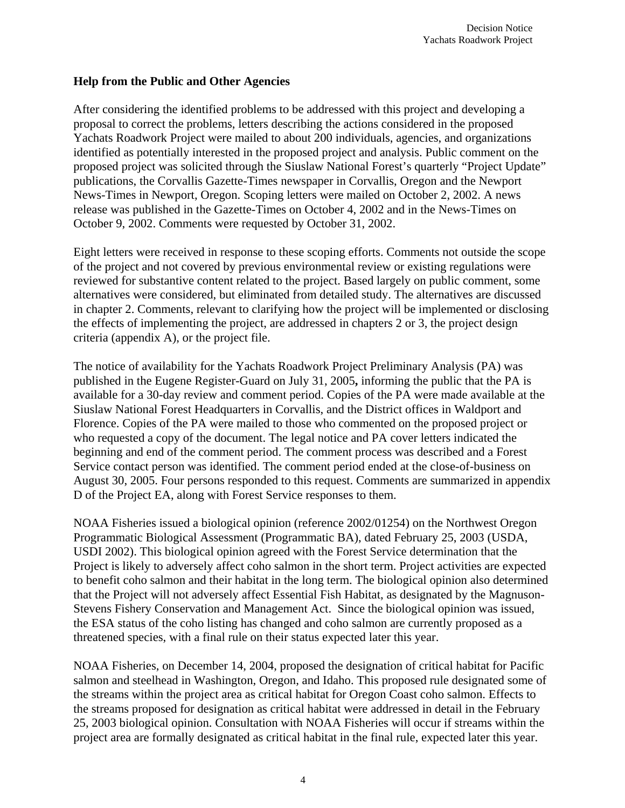#### **Help from the Public and Other Agencies**

After considering the identified problems to be addressed with this project and developing a proposal to correct the problems, letters describing the actions considered in the proposed Yachats Roadwork Project were mailed to about 200 individuals, agencies, and organizations identified as potentially interested in the proposed project and analysis. Public comment on the proposed project was solicited through the Siuslaw National Forest's quarterly "Project Update" publications, the Corvallis Gazette-Times newspaper in Corvallis, Oregon and the Newport News-Times in Newport, Oregon. Scoping letters were mailed on October 2, 2002. A news release was published in the Gazette-Times on October 4, 2002 and in the News-Times on October 9, 2002. Comments were requested by October 31, 2002.

Eight letters were received in response to these scoping efforts. Comments not outside the scope of the project and not covered by previous environmental review or existing regulations were reviewed for substantive content related to the project. Based largely on public comment, some alternatives were considered, but eliminated from detailed study. The alternatives are discussed in chapter 2. Comments, relevant to clarifying how the project will be implemented or disclosing the effects of implementing the project, are addressed in chapters 2 or 3, the project design criteria (appendix A), or the project file.

The notice of availability for the Yachats Roadwork Project Preliminary Analysis (PA) was published in the Eugene Register-Guard on July 31, 2005**,** informing the public that the PA is available for a 30-day review and comment period. Copies of the PA were made available at the Siuslaw National Forest Headquarters in Corvallis, and the District offices in Waldport and Florence. Copies of the PA were mailed to those who commented on the proposed project or who requested a copy of the document. The legal notice and PA cover letters indicated the beginning and end of the comment period. The comment process was described and a Forest Service contact person was identified. The comment period ended at the close-of-business on August 30, 2005. Four persons responded to this request. Comments are summarized in appendix D of the Project EA, along with Forest Service responses to them.

NOAA Fisheries issued a biological opinion (reference 2002/01254) on the Northwest Oregon Programmatic Biological Assessment (Programmatic BA), dated February 25, 2003 (USDA, USDI 2002). This biological opinion agreed with the Forest Service determination that the Project is likely to adversely affect coho salmon in the short term. Project activities are expected to benefit coho salmon and their habitat in the long term. The biological opinion also determined that the Project will not adversely affect Essential Fish Habitat, as designated by the Magnuson-Stevens Fishery Conservation and Management Act. Since the biological opinion was issued, the ESA status of the coho listing has changed and coho salmon are currently proposed as a threatened species, with a final rule on their status expected later this year.

NOAA Fisheries, on December 14, 2004, proposed the designation of critical habitat for Pacific salmon and steelhead in Washington, Oregon, and Idaho. This proposed rule designated some of the streams within the project area as critical habitat for Oregon Coast coho salmon. Effects to the streams proposed for designation as critical habitat were addressed in detail in the February 25, 2003 biological opinion. Consultation with NOAA Fisheries will occur if streams within the project area are formally designated as critical habitat in the final rule, expected later this year.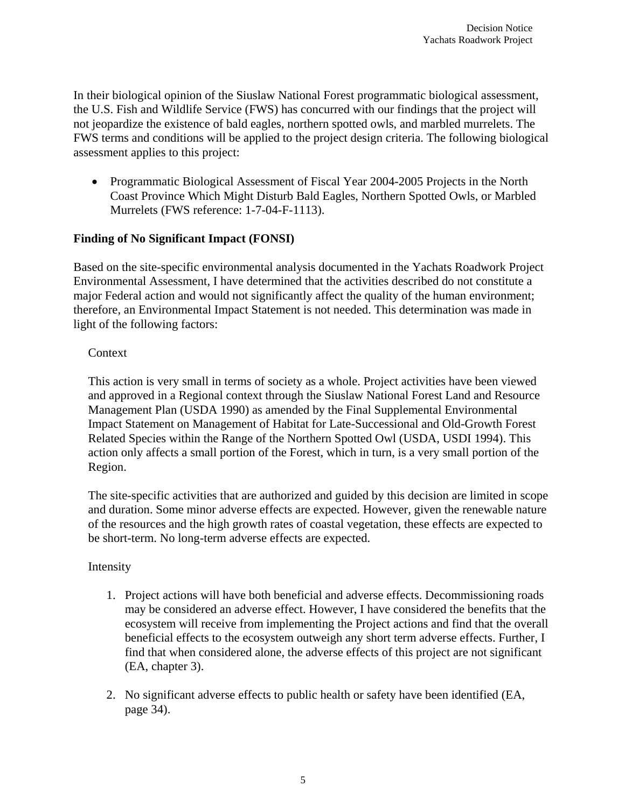In their biological opinion of the Siuslaw National Forest programmatic biological assessment, the U.S. Fish and Wildlife Service (FWS) has concurred with our findings that the project will not jeopardize the existence of bald eagles, northern spotted owls, and marbled murrelets. The FWS terms and conditions will be applied to the project design criteria. The following biological assessment applies to this project:

• Programmatic Biological Assessment of Fiscal Year 2004-2005 Projects in the North Coast Province Which Might Disturb Bald Eagles, Northern Spotted Owls, or Marbled Murrelets (FWS reference: 1-7-04-F-1113).

#### **Finding of No Significant Impact (FONSI)**

Based on the site-specific environmental analysis documented in the Yachats Roadwork Project Environmental Assessment, I have determined that the activities described do not constitute a major Federal action and would not significantly affect the quality of the human environment; therefore, an Environmental Impact Statement is not needed. This determination was made in light of the following factors:

#### **Context**

This action is very small in terms of society as a whole. Project activities have been viewed and approved in a Regional context through the Siuslaw National Forest Land and Resource Management Plan (USDA 1990) as amended by the Final Supplemental Environmental Impact Statement on Management of Habitat for Late-Successional and Old-Growth Forest Related Species within the Range of the Northern Spotted Owl (USDA, USDI 1994). This action only affects a small portion of the Forest, which in turn, is a very small portion of the Region.

The site-specific activities that are authorized and guided by this decision are limited in scope and duration. Some minor adverse effects are expected. However, given the renewable nature of the resources and the high growth rates of coastal vegetation, these effects are expected to be short-term. No long-term adverse effects are expected.

# Intensity

- 1. Project actions will have both beneficial and adverse effects. Decommissioning roads may be considered an adverse effect. However, I have considered the benefits that the ecosystem will receive from implementing the Project actions and find that the overall beneficial effects to the ecosystem outweigh any short term adverse effects. Further, I find that when considered alone, the adverse effects of this project are not significant (EA, chapter 3).
- 2. No significant adverse effects to public health or safety have been identified (EA, page 34).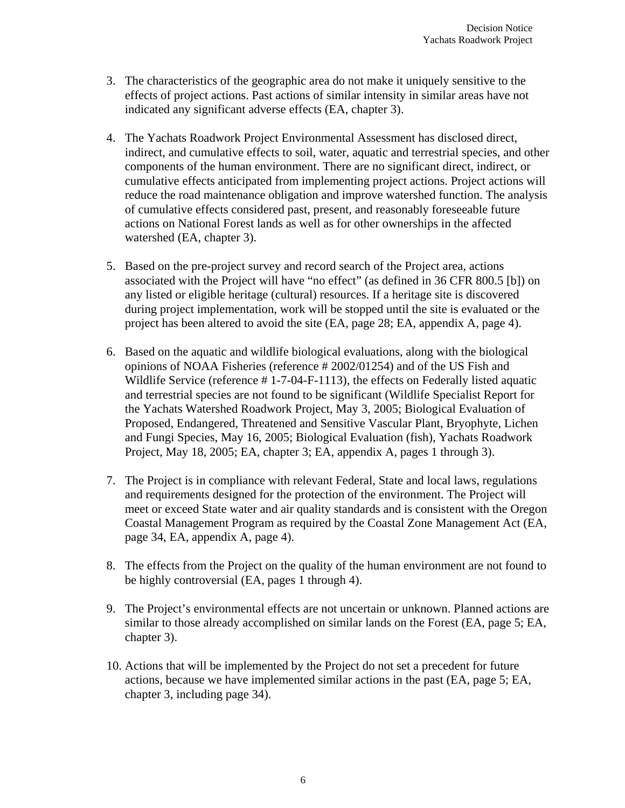- 3. The characteristics of the geographic area do not make it uniquely sensitive to the effects of project actions. Past actions of similar intensity in similar areas have not indicated any significant adverse effects (EA, chapter 3).
- 4. The Yachats Roadwork Project Environmental Assessment has disclosed direct, indirect, and cumulative effects to soil, water, aquatic and terrestrial species, and other components of the human environment. There are no significant direct, indirect, or cumulative effects anticipated from implementing project actions. Project actions will reduce the road maintenance obligation and improve watershed function. The analysis of cumulative effects considered past, present, and reasonably foreseeable future actions on National Forest lands as well as for other ownerships in the affected watershed (EA, chapter 3).
- 5. Based on the pre-project survey and record search of the Project area, actions associated with the Project will have "no effect" (as defined in 36 CFR 800.5 [b]) on any listed or eligible heritage (cultural) resources. If a heritage site is discovered during project implementation, work will be stopped until the site is evaluated or the project has been altered to avoid the site (EA, page 28; EA, appendix A, page 4).
- 6. Based on the aquatic and wildlife biological evaluations, along with the biological opinions of NOAA Fisheries (reference # 2002/01254) and of the US Fish and Wildlife Service (reference # 1-7-04-F-1113), the effects on Federally listed aquatic and terrestrial species are not found to be significant (Wildlife Specialist Report for the Yachats Watershed Roadwork Project, May 3, 2005; Biological Evaluation of Proposed, Endangered, Threatened and Sensitive Vascular Plant, Bryophyte, Lichen and Fungi Species, May 16, 2005; Biological Evaluation (fish), Yachats Roadwork Project, May 18, 2005; EA, chapter 3; EA, appendix A, pages 1 through 3).
- 7. The Project is in compliance with relevant Federal, State and local laws, regulations and requirements designed for the protection of the environment. The Project will meet or exceed State water and air quality standards and is consistent with the Oregon Coastal Management Program as required by the Coastal Zone Management Act (EA, page 34, EA, appendix A, page 4).
- 8. The effects from the Project on the quality of the human environment are not found to be highly controversial (EA, pages 1 through 4).
- 9. The Project's environmental effects are not uncertain or unknown. Planned actions are similar to those already accomplished on similar lands on the Forest (EA, page 5; EA, chapter 3).
- 10. Actions that will be implemented by the Project do not set a precedent for future actions, because we have implemented similar actions in the past (EA, page 5; EA, chapter 3, including page 34).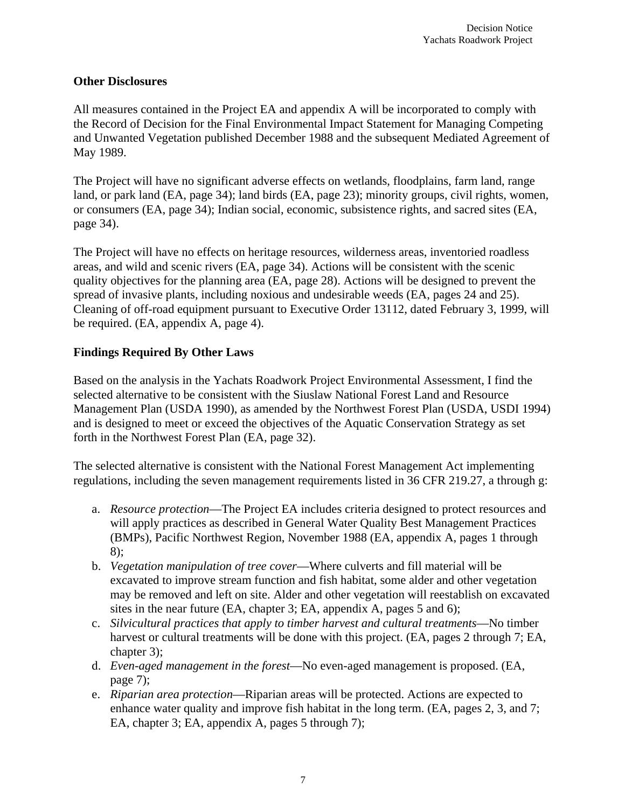#### **Other Disclosures**

All measures contained in the Project EA and appendix A will be incorporated to comply with the Record of Decision for the Final Environmental Impact Statement for Managing Competing and Unwanted Vegetation published December 1988 and the subsequent Mediated Agreement of May 1989.

The Project will have no significant adverse effects on wetlands, floodplains, farm land, range land, or park land (EA, page 34); land birds (EA, page 23); minority groups, civil rights, women, or consumers (EA, page 34); Indian social, economic, subsistence rights, and sacred sites (EA, page 34).

The Project will have no effects on heritage resources, wilderness areas, inventoried roadless areas, and wild and scenic rivers (EA, page 34). Actions will be consistent with the scenic quality objectives for the planning area (EA, page 28). Actions will be designed to prevent the spread of invasive plants, including noxious and undesirable weeds (EA, pages 24 and 25). Cleaning of off-road equipment pursuant to Executive Order 13112, dated February 3, 1999, will be required. (EA, appendix A, page 4).

# **Findings Required By Other Laws**

Based on the analysis in the Yachats Roadwork Project Environmental Assessment, I find the selected alternative to be consistent with the Siuslaw National Forest Land and Resource Management Plan (USDA 1990), as amended by the Northwest Forest Plan (USDA, USDI 1994) and is designed to meet or exceed the objectives of the Aquatic Conservation Strategy as set forth in the Northwest Forest Plan (EA, page 32).

The selected alternative is consistent with the National Forest Management Act implementing regulations, including the seven management requirements listed in 36 CFR 219.27, a through g:

- a. *Resource protection*—The Project EA includes criteria designed to protect resources and will apply practices as described in General Water Quality Best Management Practices (BMPs), Pacific Northwest Region, November 1988 (EA, appendix A, pages 1 through 8);
- b. *Vegetation manipulation of tree cover*—Where culverts and fill material will be excavated to improve stream function and fish habitat, some alder and other vegetation may be removed and left on site. Alder and other vegetation will reestablish on excavated sites in the near future (EA, chapter 3; EA, appendix A, pages 5 and 6);
- c. *Silvicultural practices that apply to timber harvest and cultural treatments*—No timber harvest or cultural treatments will be done with this project. (EA, pages 2 through 7; EA, chapter 3);
- d. *Even-aged management in the forest*—No even-aged management is proposed. (EA, page 7);
- e. *Riparian area protection*—Riparian areas will be protected. Actions are expected to enhance water quality and improve fish habitat in the long term. (EA, pages 2, 3, and 7; EA, chapter 3; EA, appendix A, pages 5 through 7);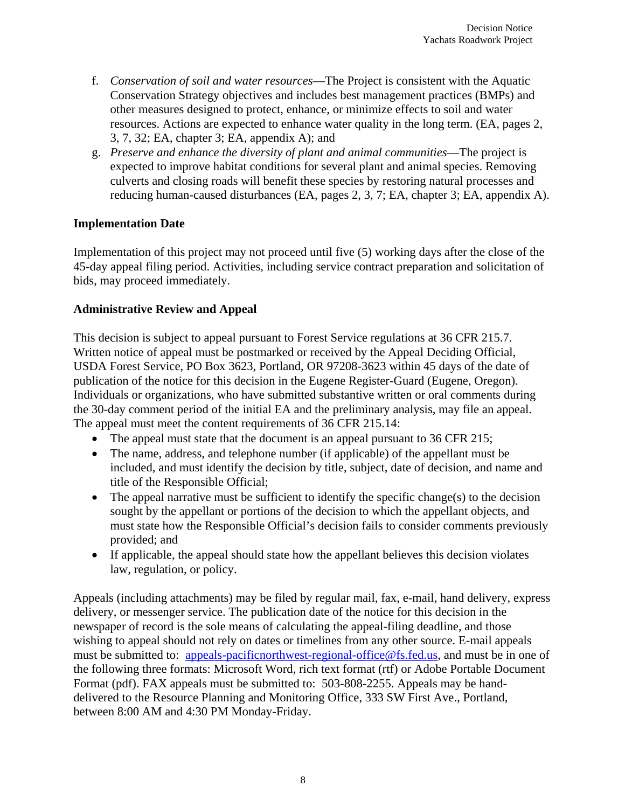- f. *Conservation of soil and water resources*—The Project is consistent with the Aquatic Conservation Strategy objectives and includes best management practices (BMPs) and other measures designed to protect, enhance, or minimize effects to soil and water resources. Actions are expected to enhance water quality in the long term. (EA, pages 2, 3, 7, 32; EA, chapter 3; EA, appendix A); and
- g. *Preserve and enhance the diversity of plant and animal communities*—The project is expected to improve habitat conditions for several plant and animal species. Removing culverts and closing roads will benefit these species by restoring natural processes and reducing human-caused disturbances (EA, pages 2, 3, 7; EA, chapter 3; EA, appendix A).

#### **Implementation Date**

Implementation of this project may not proceed until five (5) working days after the close of the 45-day appeal filing period. Activities, including service contract preparation and solicitation of bids, may proceed immediately.

# **Administrative Review and Appeal**

This decision is subject to appeal pursuant to Forest Service regulations at 36 CFR 215.7. Written notice of appeal must be postmarked or received by the Appeal Deciding Official, USDA Forest Service, PO Box 3623, Portland, OR 97208-3623 within 45 days of the date of publication of the notice for this decision in the Eugene Register-Guard (Eugene, Oregon). Individuals or organizations, who have submitted substantive written or oral comments during the 30-day comment period of the initial EA and the preliminary analysis, may file an appeal. The appeal must meet the content requirements of 36 CFR 215.14:

- The appeal must state that the document is an appeal pursuant to 36 CFR 215;
- The name, address, and telephone number (if applicable) of the appellant must be included, and must identify the decision by title, subject, date of decision, and name and title of the Responsible Official;
- The appeal narrative must be sufficient to identify the specific change(s) to the decision sought by the appellant or portions of the decision to which the appellant objects, and must state how the Responsible Official's decision fails to consider comments previously provided; and
- If applicable, the appeal should state how the appellant believes this decision violates law, regulation, or policy.

Appeals (including attachments) may be filed by regular mail, fax, e-mail, hand delivery, express delivery, or messenger service. The publication date of the notice for this decision in the newspaper of record is the sole means of calculating the appeal-filing deadline, and those wishing to appeal should not rely on dates or timelines from any other source. E-mail appeals must be submitted to: <u>appeals-pacificnorthwest-regional-office@fs.fed.us</u>, and must be in one of the following three formats: Microsoft Word, rich text format (rtf) or Adobe Portable Document Format (pdf). FAX appeals must be submitted to: 503-808-2255. Appeals may be handdelivered to the Resource Planning and Monitoring Office, 333 SW First Ave., Portland, between 8:00 AM and 4:30 PM Monday-Friday.